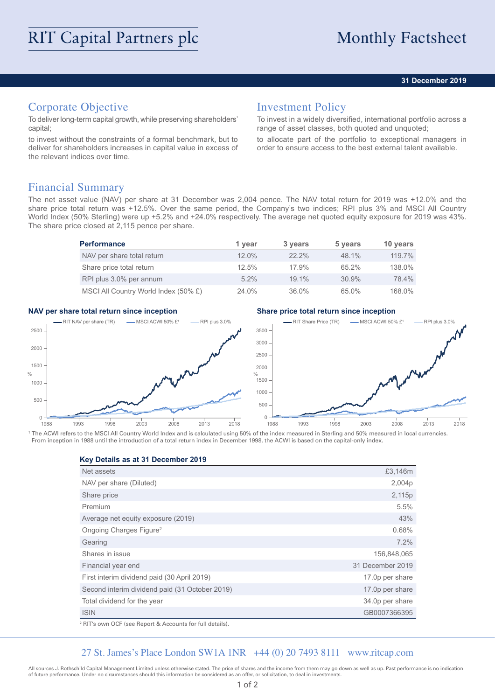## **31 December 2019**

# Corporate Objective

To deliver long-term capital growth, while preserving shareholders' capital;

to invest without the constraints of a formal benchmark, but to deliver for shareholders increases in capital value in excess of the relevant indices over time.

# Investment Policy

To invest in a widely diversified, international portfolio across a range of asset classes, both quoted and unquoted;

to allocate part of the portfolio to exceptional managers in order to ensure access to the best external talent available.

## Financial Summary

The net asset value (NAV) per share at 31 December was 2,004 pence. The NAV total return for 2019 was +12.0% and the share price total return was +12.5%. Over the same period, the Company's two indices; RPI plus 3% and MSCI All Country World Index (50% Sterling) were up +5.2% and +24.0% respectively. The average net quoted equity exposure for 2019 was 43%. The share price closed at 2,115 pence per share.

| <b>Performance</b>                   | 1 vear   | 3 years  | 5 years  | 10 years |
|--------------------------------------|----------|----------|----------|----------|
| NAV per share total return           | $12.0\%$ | $22.2\%$ | 48.1%    | 119.7%   |
| Share price total return             | 12.5%    | 17.9%    | $65.2\%$ | 138.0%   |
| RPI plus 3.0% per annum              | $5.2\%$  | $19.1\%$ | 30.9%    | 78.4%    |
| MSCI All Country World Index (50% £) | 24.0%    | 36.0%    | 65.0%    | 168.0%   |

## **NAV per share total return since inception Share price total return since inception**



<sup>1</sup> The ACWI refers to the MSCI All Country World Index and is calculated using 50% of the index measured in Sterling and 50% measured in local currencies From inception in 1988 until the introduction of a total return index in December 1998, the ACWI is based on the capital-only index.

## **Key Details as at 31 December 2019**

| Net assets                                     | £3,146m          |
|------------------------------------------------|------------------|
| NAV per share (Diluted)                        | 2,004p           |
| Share price                                    | 2,115p           |
| Premium                                        | 5.5%             |
| Average net equity exposure (2019)             | 43%              |
| Ongoing Charges Figure <sup>2</sup>            | 0.68%            |
| Gearing                                        | 7.2%             |
| Shares in issue                                | 156,848,065      |
| Financial year end                             | 31 December 2019 |
| First interim dividend paid (30 April 2019)    | 17.0p per share  |
| Second interim dividend paid (31 October 2019) | 17.0p per share  |
| Total dividend for the year                    | 34.0p per share  |
| <b>ISIN</b>                                    | GB0007366395     |
| $\sim$ $ -$                                    |                  |

2 RIT's own OCF (see Report & Accounts for full details).

## 27 St. James's Place London SW1A 1NR +44 (0) 20 7493 8111 www.ritcap.com

All sources J. Rothschild Capital Management Limited unless otherwise stated. The price of shares and the income from them may go down as well as up. Past performance is no indication of future performance. Under no circumstances should this information be considered as an offer, or solicitation, to deal in investments.